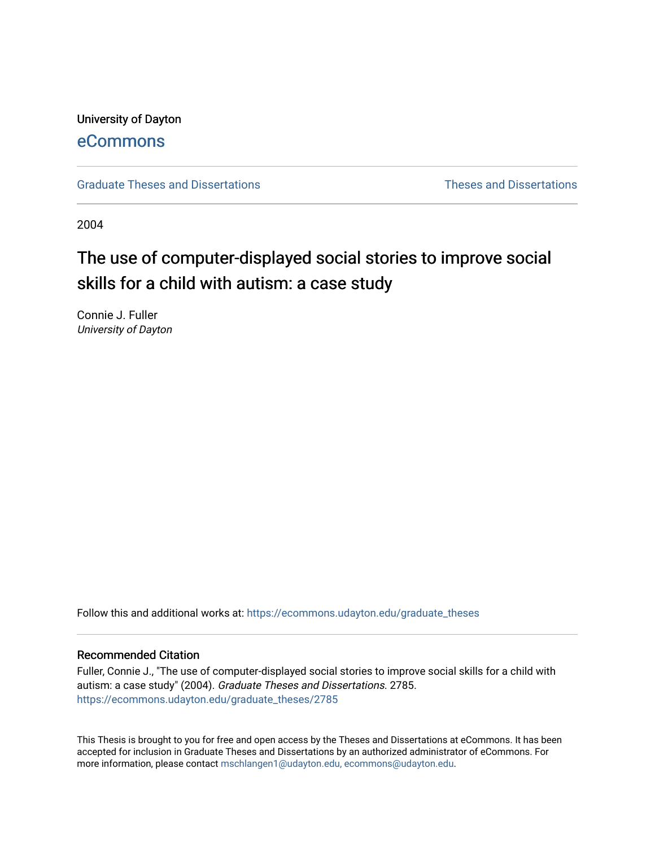## University of Dayton [eCommons](https://ecommons.udayton.edu/)

[Graduate Theses and Dissertations](https://ecommons.udayton.edu/graduate_theses) **Theses and Dissertations** Theses and Dissertations

2004

# The use of computer-displayed social stories to improve social skills for a child with autism: a case study

Connie J. Fuller University of Dayton

Follow this and additional works at: [https://ecommons.udayton.edu/graduate\\_theses](https://ecommons.udayton.edu/graduate_theses?utm_source=ecommons.udayton.edu%2Fgraduate_theses%2F2785&utm_medium=PDF&utm_campaign=PDFCoverPages)

#### Recommended Citation

Fuller, Connie J., "The use of computer-displayed social stories to improve social skills for a child with autism: a case study" (2004). Graduate Theses and Dissertations. 2785. [https://ecommons.udayton.edu/graduate\\_theses/2785](https://ecommons.udayton.edu/graduate_theses/2785?utm_source=ecommons.udayton.edu%2Fgraduate_theses%2F2785&utm_medium=PDF&utm_campaign=PDFCoverPages)

This Thesis is brought to you for free and open access by the Theses and Dissertations at eCommons. It has been accepted for inclusion in Graduate Theses and Dissertations by an authorized administrator of eCommons. For more information, please contact [mschlangen1@udayton.edu, ecommons@udayton.edu](mailto:mschlangen1@udayton.edu,%20ecommons@udayton.edu).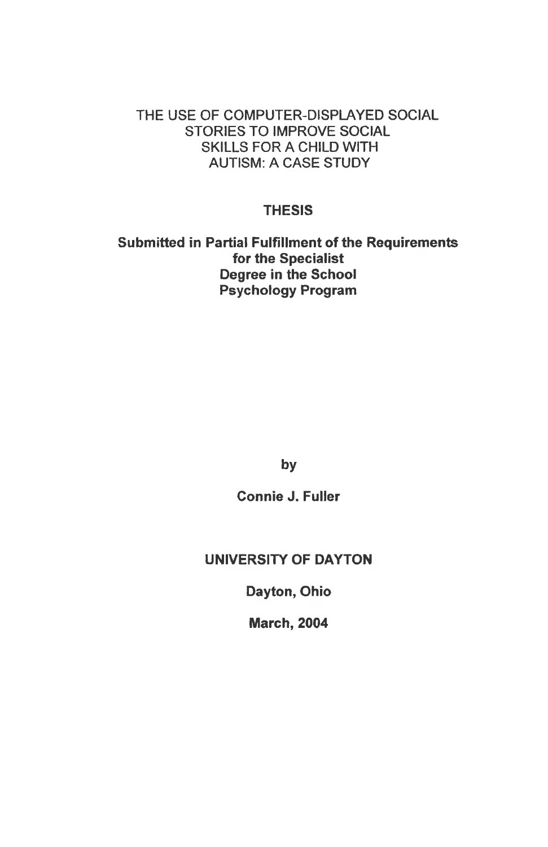## THE USE OF COMPUTER-DISPLAYED SOCIAL STORIES TO IMPROVE SOCIAL SKILLS FOR A CHILD WITH AUTISM: A CASE STUDY

## **THESIS**

**Submitted in Partial Fulfillment of the Requirements for the Specialist Degree in the School Psychology Program**

**by**

**Connie J. Fuller**

## **UNIVERSITY OF DAYTON**

**Dayton, Ohio**

**March, 2004**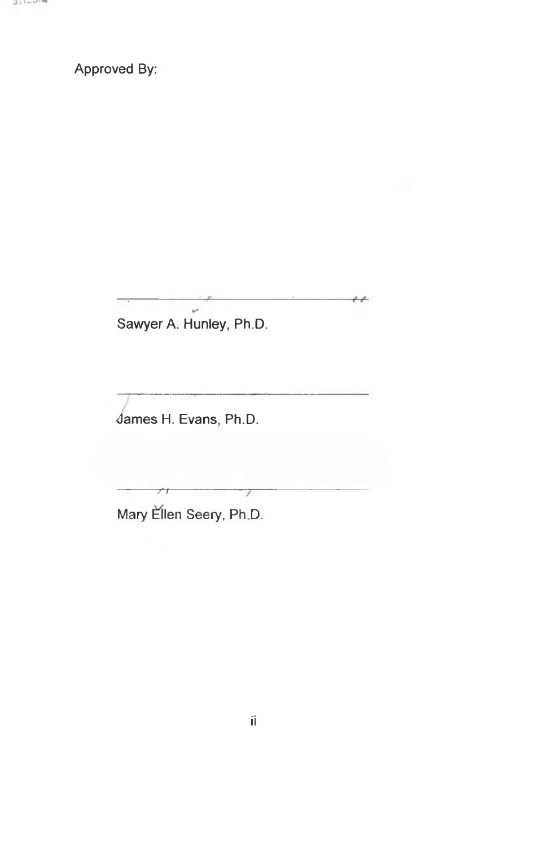**Approved By:** 

 $\sim$ Sawyer A. Hunley, Ph.D.

 $\overline{\phantom{a}}$ 

 $\overline{y}$ 

James H. Evans, Ph.D.

Mary Ellen Seery, Ph.D.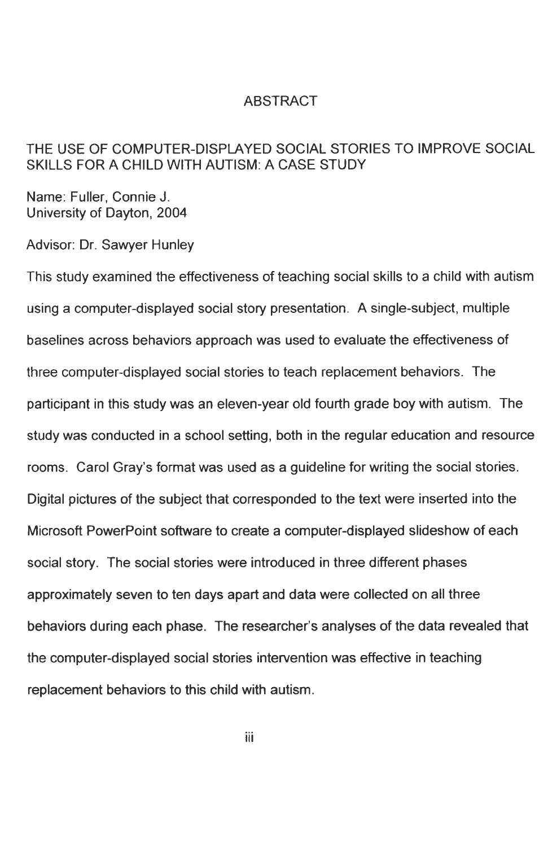## ABSTRACT

## THE USE OF COMPUTER-DISPLAYED SOCIAL STORIES TO IMPROVE SOCIAL SKILLS FOR A CHILD WITH AUTISM: A CASE STUDY

Name: Fuller, Connie J. University of Dayton, 2004

Advisor: Dr. Sawyer Hunley

This study examined the effectiveness of teaching social skills to a child with autism using a computer-displayed social story presentation. A single-subject, multiple baselines across behaviors approach was used to evaluate the effectiveness of three computer-displayed social stories to teach replacement behaviors. The participant in this study was an eleven-year old fourth grade boy with autism. The study was conducted in a school setting, both in the regular education and resource rooms. Carol Gray's format was used as a guideline for writing the social stories. Digital pictures of the subject that corresponded to the text were inserted into the Microsoft PowerPoint software to create a computer-displayed slideshow of each social story. The social stories were introduced in three different phases approximately seven to ten days apart and data were collected on all three behaviors during each phase. The researcher's analyses of the data revealed that the computer-displayed social stories intervention was effective in teaching replacement behaviors to this child with autism.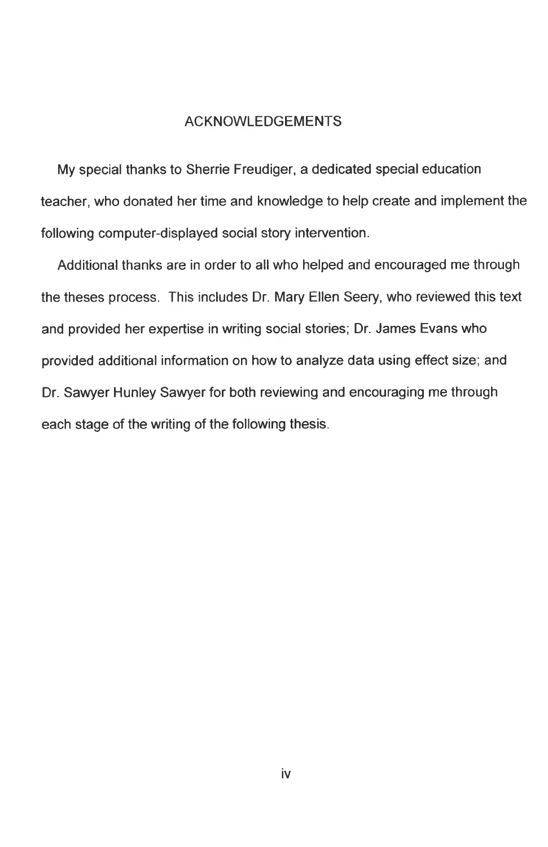#### ACKNOWLEDGEMENTS

My special thanks to Sherrie Freudiger, a dedicated special education teacher, who donated her time and knowledge to help create and implement the following computer-displayed social story intervention.

Additional thanks are in order to all who helped and encouraged me through the theses process. This includes Dr. Mary Ellen Seery, who reviewed this text and provided her expertise in writing social stories; Dr. James Evans who provided additional information on how to analyze data using effect size; and Dr. Sawyer Hunley Sawyer for both reviewing and encouraging me through each stage of the writing of the following thesis.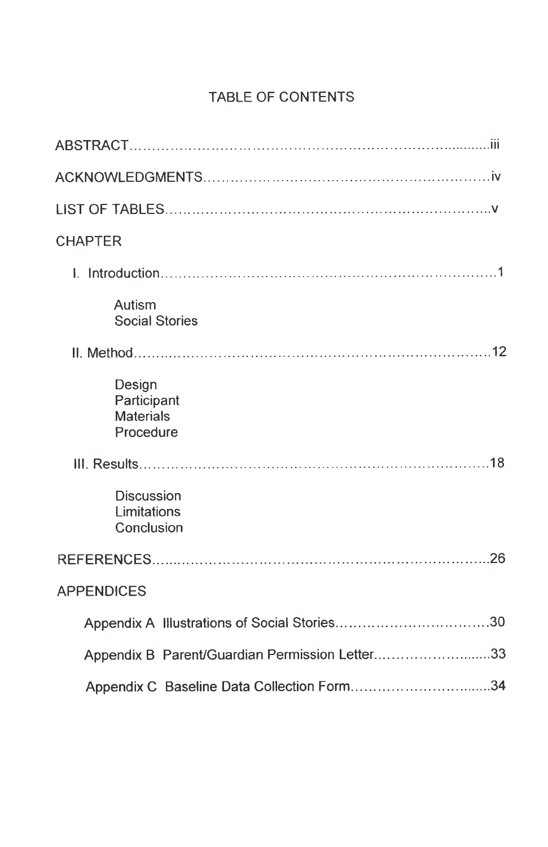## TABLE OF CONTENTS

| <b>CHAPTER</b>                                         |  |
|--------------------------------------------------------|--|
|                                                        |  |
| Autism<br><b>Social Stories</b>                        |  |
|                                                        |  |
| Design<br>Participant<br><b>Materials</b><br>Procedure |  |
|                                                        |  |
| <b>Discussion</b><br>Limitations<br>Conclusion         |  |
|                                                        |  |
| <b>APPENDICES</b>                                      |  |
|                                                        |  |
| Appendix B Parent/Guardian Permission Letter33         |  |
| Appendix C Baseline Data Collection Form34             |  |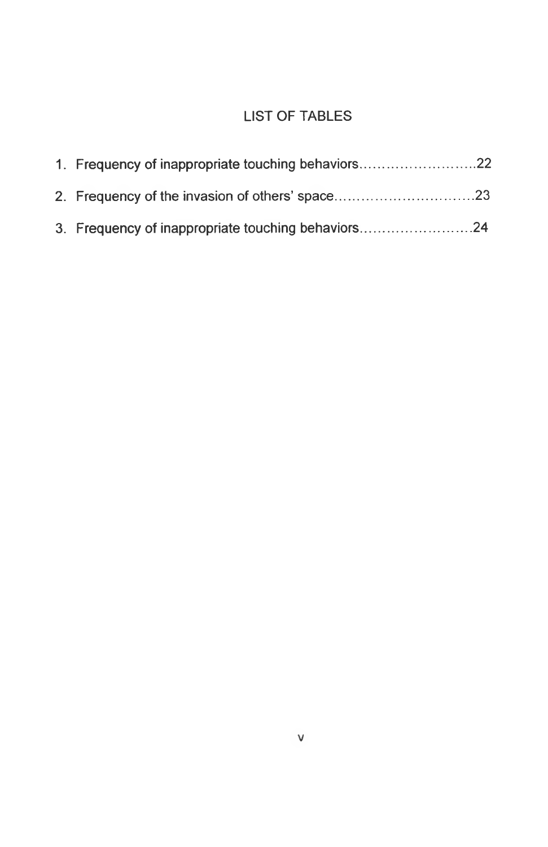## LIST OF TABLES

| 1. Frequency of inappropriate touching behaviors22 |  |
|----------------------------------------------------|--|
|                                                    |  |
| 3. Frequency of inappropriate touching behaviors24 |  |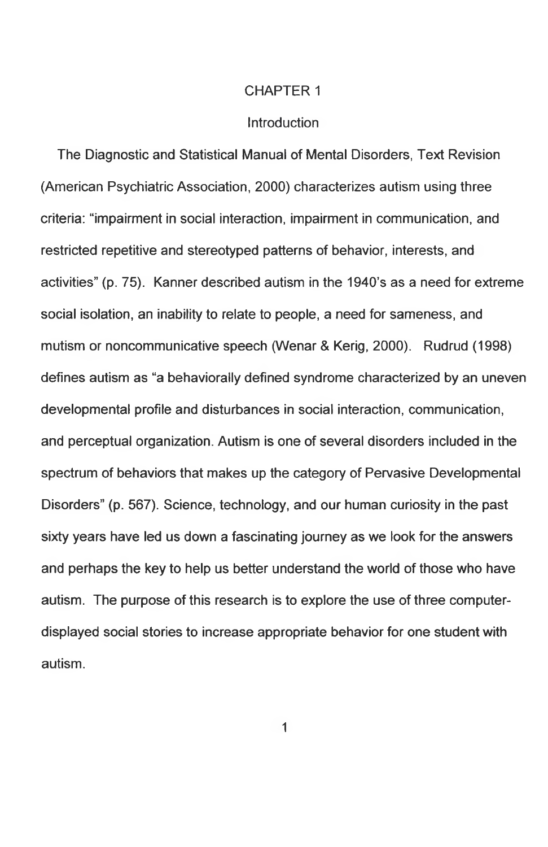#### CHAPTER 1

#### **Introduction**

The Diagnostic and Statistical Manual of Mental Disorders, Text Revision (American Psychiatric Association, 2000) characterizes autism using three criteria: "impairment in social interaction, impairment in communication, and restricted repetitive and stereotyped patterns of behavior, interests, and activities" (p. 75). Kanner described autism in the 1940's as a need for extreme social isolation, an inability to relate to people, a need for sameness, and mutism or noncommunicative speech (Wenar & Kerig, 2000). Rudrud (1998) defines autism as "a behaviorally defined syndrome characterized by an uneven developmental profile and disturbances in social interaction, communication, and perceptual organization. Autism is one of several disorders included in the spectrum of behaviors that makes up the category of Pervasive Developmental Disorders" (p. 567). Science, technology, and our human curiosity in the past sixty years have led us down a fascinating journey as we look for the answers and perhaps the key to help us better understand the world of those who have autism. The purpose of this research is to explore the use of three computerdisplayed social stories to increase appropriate behavior for one student with autism.

1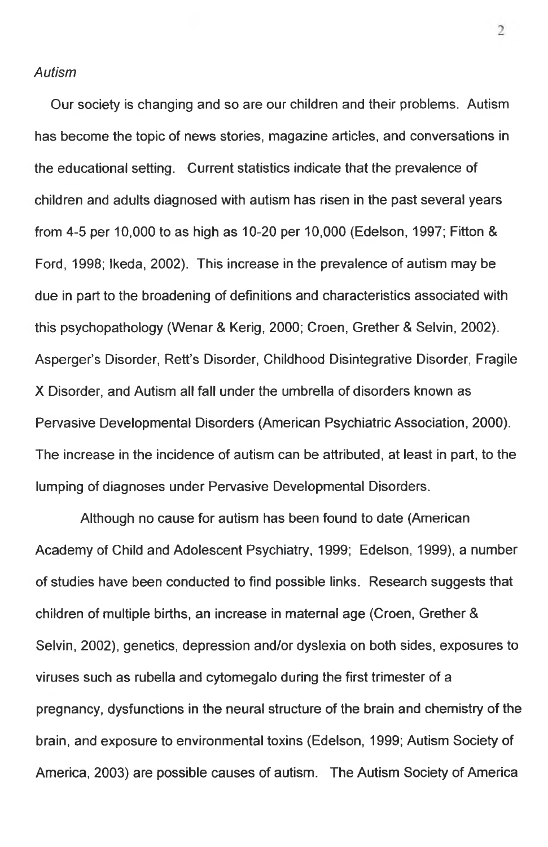## *Autism*

Our society is changing and so are our children and their problems. Autism has become the topic of news stories, magazine articles, and conversations in the educational setting. Current statistics indicate that the prevalence of children and adults diagnosed with autism has risen in the past several years from 4-5 per 10,000 to as high as 10-20 per 10,000 (Edelson, 1997; Fitton & Ford, 1998; Ikeda, 2002). This increase in the prevalence of autism may be due in part to the broadening of definitions and characteristics associated with this psychopathology (Wenar & Kerig, 2000; Croen, Grether & Selvin, 2002). Asperger's Disorder, Rett's Disorder, Childhood Disintegrative Disorder, Fragile X Disorder, and Autism all fall under the umbrella of disorders known as Pervasive Developmental Disorders (American Psychiatric Association, 2000). The increase in the incidence of autism can be attributed, at least in part, to the lumping of diagnoses under Pervasive Developmental Disorders.

Although no cause for autism has been found to date (American Academy of Child and Adolescent Psychiatry, 1999; Edelson, 1999), a number of studies have been conducted to find possible links. Research suggests that children of multiple births, an increase in maternal age (Croen, Grether & Selvin, 2002), genetics, depression and/or dyslexia on both sides, exposures to viruses such as rubella and cytomegalo during the first trimester of a pregnancy, dysfunctions in the neural structure of the brain and chemistry of the brain, and exposure to environmental toxins (Edelson, 1999; Autism Society of America, 2003) are possible causes of autism. The Autism Society of America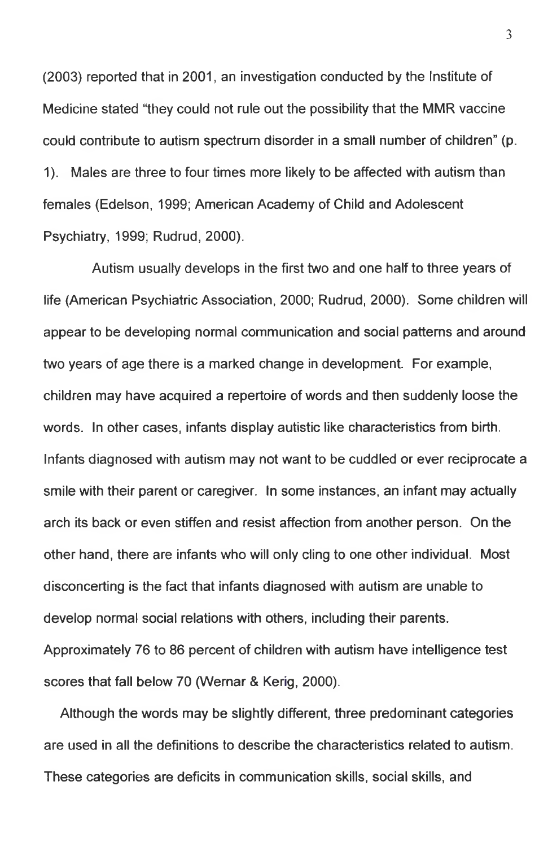(2003) reported that in 2001, an investigation conducted by the Institute of Medicine stated "they could not rule out the possibility that the MMR vaccine could contribute to autism spectrum disorder in a small number of children" (p. 1). Males are three to four times more likely to be affected with autism than females (Edelson, 1999; American Academy of Child and Adolescent Psychiatry, 1999; Rudrud, 2000).

Autism usually develops in the first two and one half to three years of life (American Psychiatric Association, 2000; Rudrud, 2000). Some children will appear to be developing normal communication and social patterns and around two years of age there is a marked change in development. For example, children may have acquired a repertoire of words and then suddenly loose the words. In other cases, infants display autistic like characteristics from birth. Infants diagnosed with autism may not want to be cuddled or ever reciprocate a smile with their parent or caregiver. In some instances, an infant may actually arch its back or even stiffen and resist affection from another person. On the other hand, there are infants who will only cling to one other individual. Most disconcerting is the fact that infants diagnosed with autism are unable to develop normal social relations with others, including their parents. Approximately 76 to 86 percent of children with autism have intelligence test scores that fall below 70 (Wernar & Kerig, 2000).

Although the words may be slightly different, three predominant categories are used in all the definitions to describe the characteristics related to autism. These categories are deficits in communication skills, social skills, and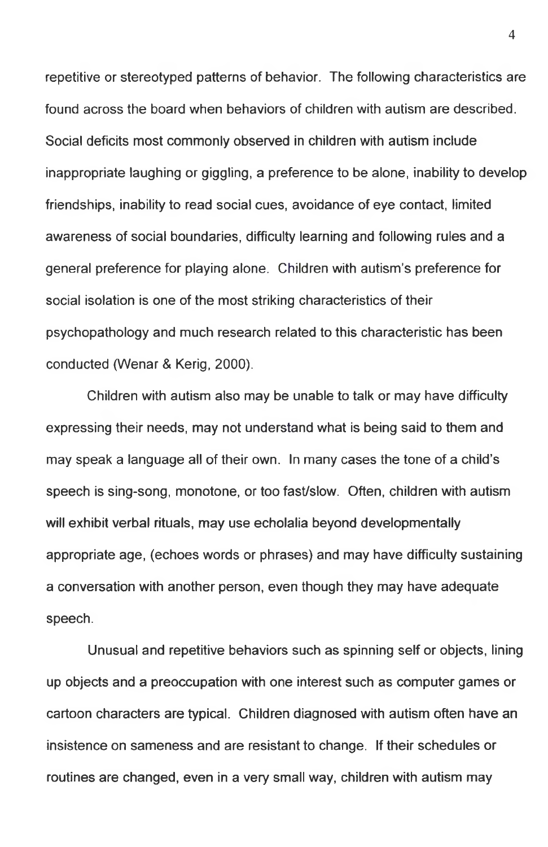repetitive or stereotyped patterns of behavior. The following characteristics are found across the board when behaviors of children with autism are described. Social deficits most commonly observed in children with autism include inappropriate laughing or giggling, a preference to be alone, inability to develop friendships, inability to read social cues, avoidance of eye contact, limited awareness of social boundaries, difficulty learning and following rules and a general preference for playing alone. Children with autism's preference for social isolation is one of the most striking characteristics of their psychopathology and much research related to this characteristic has been conducted (Wenar & Kerig, 2000).

Children with autism also may be unable to talk or may have difficulty expressing their needs, may not understand what is being said to them and may speak a language all of their own. In many cases the tone of a child's speech is sing-song, monotone, or too fast/slow. Often, children with autism will exhibit verbal rituals, may use echolalia beyond developmentally appropriate age, (echoes words or phrases) and may have difficulty sustaining a conversation with another person, even though they may have adequate speech.

Unusual and repetitive behaviors such as spinning self or objects, lining up objects and a preoccupation with one interest such as computer games or cartoon characters are typical. Children diagnosed with autism often have an insistence on sameness and are resistant to change. If their schedules or routines are changed, even in a very small way, children with autism may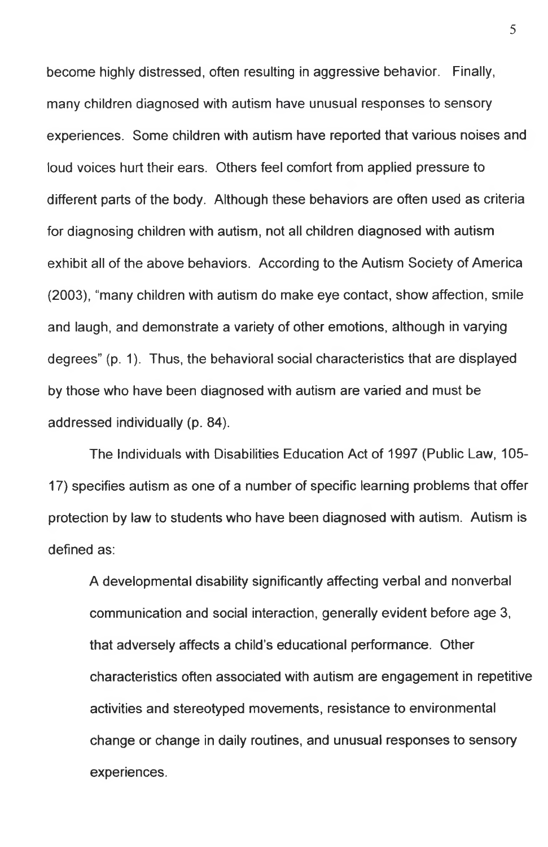become highly distressed, often resulting in aggressive behavior. Finally, many children diagnosed with autism have unusual responses to sensory experiences. Some children with autism have reported that various noises and loud voices hurt their ears. Others feel comfort from applied pressure to different parts of the body. Although these behaviors are often used as criteria for diagnosing children with autism, not all children diagnosed with autism exhibit all of the above behaviors. According to the Autism Society of America (2003), "many children with autism do make eye contact, show affection, smile and laugh, and demonstrate a variety of other emotions, although in varying degrees" (p. 1). Thus, the behavioral social characteristics that are displayed by those who have been diagnosed with autism are varied and must be addressed individually (p. 84).

The Individuals with Disabilities Education Act of 1997 (Public Law, 105- 17) specifies autism as one of a number of specific learning problems that offer protection by law to students who have been diagnosed with autism. Autism is defined as:

A developmental disability significantly affecting verbal and nonverbal communication and social interaction, generally evident before age 3, that adversely affects a child's educational performance. Other characteristics often associated with autism are engagement in repetitive activities and stereotyped movements, resistance to environmental change or change in daily routines, and unusual responses to sensory experiences.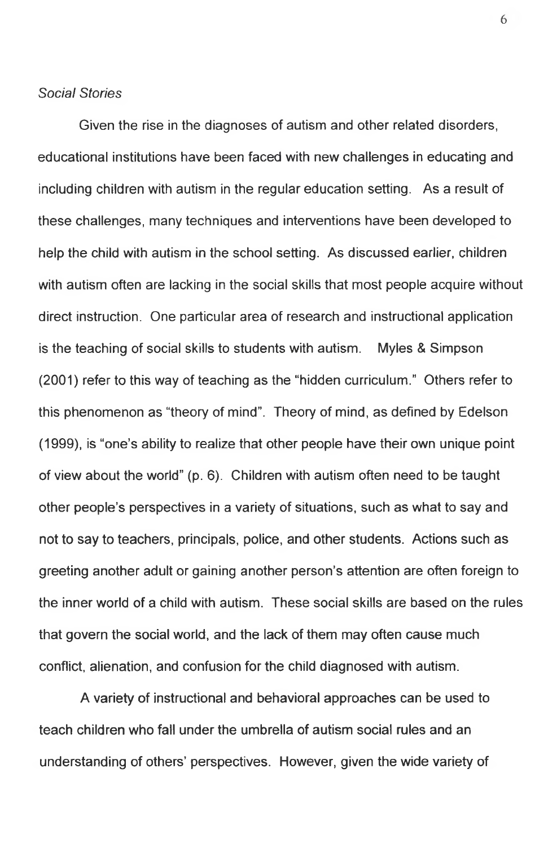## *Social Stories*

Given the rise in the diagnoses of autism and other related disorders, educational institutions have been faced with new challenges in educating and including children with autism in the regular education setting. As a result of these challenges, many techniques and interventions have been developed to help the child with autism in the school setting. As discussed earlier, children with autism often are lacking in the social skills that most people acquire without direct instruction. One particular area of research and instructional application is the teaching of social skills to students with autism. Myles & Simpson (2001) refer to this way of teaching as the "hidden curriculum." Others refer to this phenomenon as "theory of mind". Theory of mind, as defined by Edelson (1999), is "one's ability to realize that other people have their own unique point of view about the world" (p. 6). Children with autism often need to be taught other people's perspectives in a variety of situations, such as what to say and not to say to teachers, principals, police, and other students. Actions such as greeting another adult or gaining another person's attention are often foreign to the inner world of a child with autism. These social skills are based on the rules that govern the social world, and the lack of them may often cause much conflict, alienation, and confusion for the child diagnosed with autism.

A variety of instructional and behavioral approaches can be used to teach children who fall under the umbrella of autism social rules and an understanding of others' perspectives. However, given the wide variety of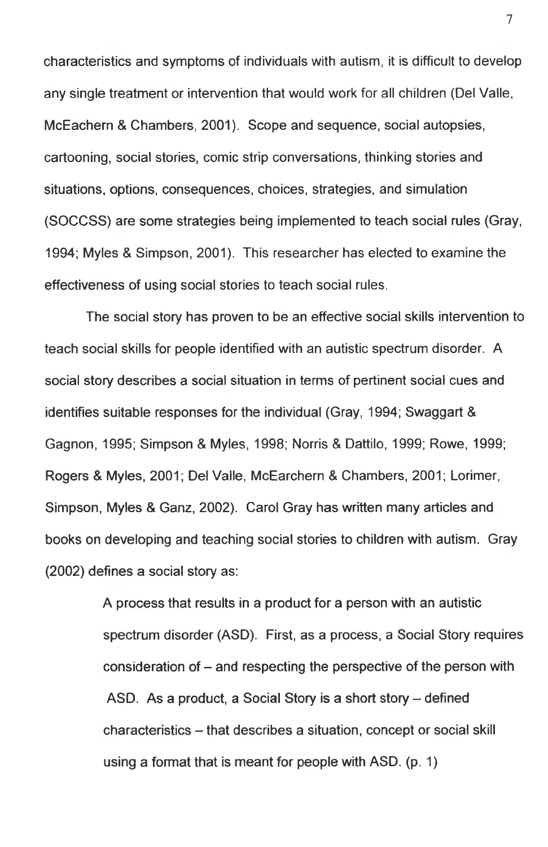characteristics and symptoms of individuals with autism, it is difficult to develop any single treatment or intervention that would work for all children (Del Valle, McEachern & Chambers, 2001). Scope and sequence, social autopsies, cartooning, social stories, comic strip conversations, thinking stories and situations, options, consequences, choices, strategies, and simulation (SOCCSS) are some strategies being implemented to teach social rules (Gray, 1994; Myles & Simpson, 2001). This researcher has elected to examine the effectiveness of using social stories to teach social rules.

The social story has proven to be an effective social skills intervention to teach social skills for people identified with an autistic spectrum disorder. A social story describes a social situation in terms of pertinent social cues and identifies suitable responses for the individual (Gray, 1994; Swaggart & Gagnon, 1995; Simpson & Myles, 1998; Norris & Dattilo, 1999; Rowe, 1999; Rogers & Myles, 2001; Del Valle, McEarchern & Chambers, 2001; Lorimer, Simpson, Myles & Ganz, 2002). Carol Gray has written many articles and books on developing and teaching social stories to children with autism. Gray (2002) defines a social story as:

> A process that results in a product for a person with an autistic spectrum disorder (ASD). First, as a process, a Social Story requires consideration of  $-$  and respecting the perspective of the person with ASD. As a product, a Social Story is a short story  $-$  defined characteristics - that describes a situation, concept or social skill using a format that is meant for people with ASD. (p. 1)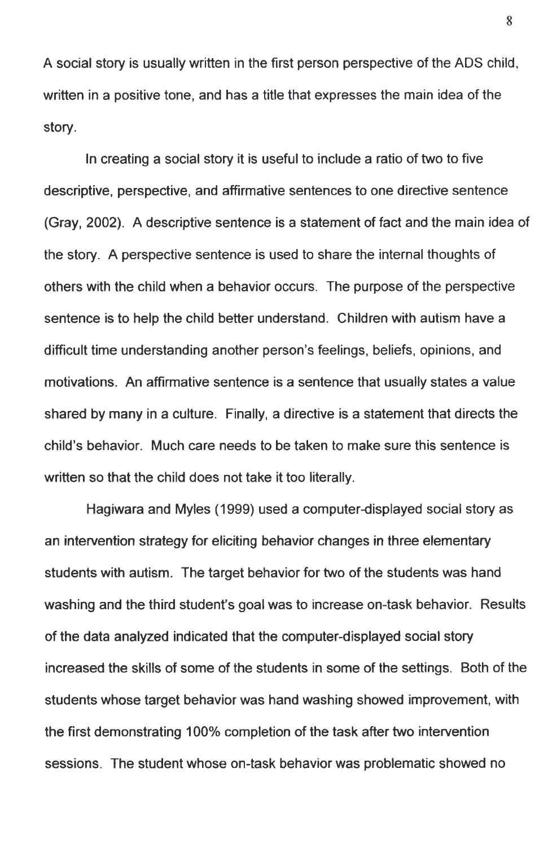A social story is usually written in the first person perspective of the ADS child, written in a positive tone, and has a title that expresses the main idea of the story.

In creating a social story it is useful to include a ratio of two to five descriptive, perspective, and affirmative sentences to one directive sentence (Gray, 2002). A descriptive sentence is a statement of fact and the main idea of the story. A perspective sentence is used to share the internal thoughts of others with the child when a behavior occurs. The purpose of the perspective sentence is to help the child better understand. Children with autism have a difficult time understanding another person's feelings, beliefs, opinions, and motivations. An affirmative sentence is a sentence that usually states a value shared by many in a culture. Finally, a directive is a statement that directs the child's behavior. Much care needs to be taken to make sure this sentence is written so that the child does not take it too literally.

Hagiwara and Myles (1999) used a computer-displayed social story as an intervention strategy for eliciting behavior changes in three elementary students with autism. The target behavior for two of the students was hand washing and the third student's goal was to increase on-task behavior. Results of the data analyzed indicated that the computer-displayed social story increased the skills of some of the students in some of the settings. Both of the students whose target behavior was hand washing showed improvement, with the first demonstrating 100% completion of the task after two intervention sessions. The student whose on-task behavior was problematic showed no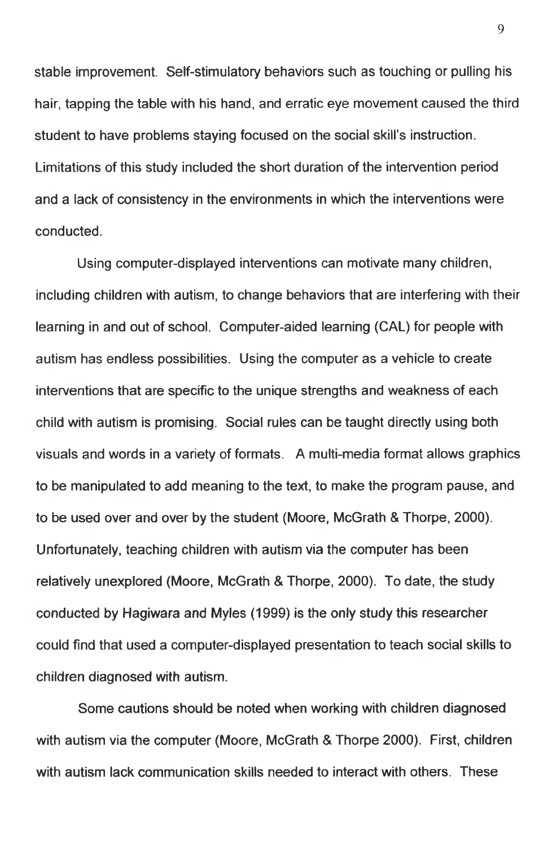stable improvement. Self-stimulatory behaviors such as touching or pulling his hair, tapping the table with his hand, and erratic eye movement caused the third student to have problems staying focused on the social skill's instruction. Limitations of this study included the short duration of the intervention period and a lack of consistency in the environments in which the interventions were conducted.

Using computer-displayed interventions can motivate many children, including children with autism, to change behaviors that are interfering with their learning in and out of school. Computer-aided learning (CAL) for people with autism has endless possibilities. Using the computer as a vehicle to create interventions that are specific to the unique strengths and weakness of each child with autism is promising. Social rules can be taught directly using both visuals and words in a variety of formats. A multi-media format allows graphics to be manipulated to add meaning to the text, to make the program pause, and to be used over and over by the student (Moore, McGrath & Thorpe, 2000). Unfortunately, teaching children with autism via the computer has been relatively unexplored (Moore, McGrath & Thorpe, 2000). To date, the study conducted by Hagiwara and Myles (1999) is the only study this researcher could find that used a computer-displayed presentation to teach social skills to children diagnosed with autism.

Some cautions should be noted when working with children diagnosed with autism via the computer (Moore, McGrath & Thorpe 2000). First, children with autism lack communication skills needed to interact with others. These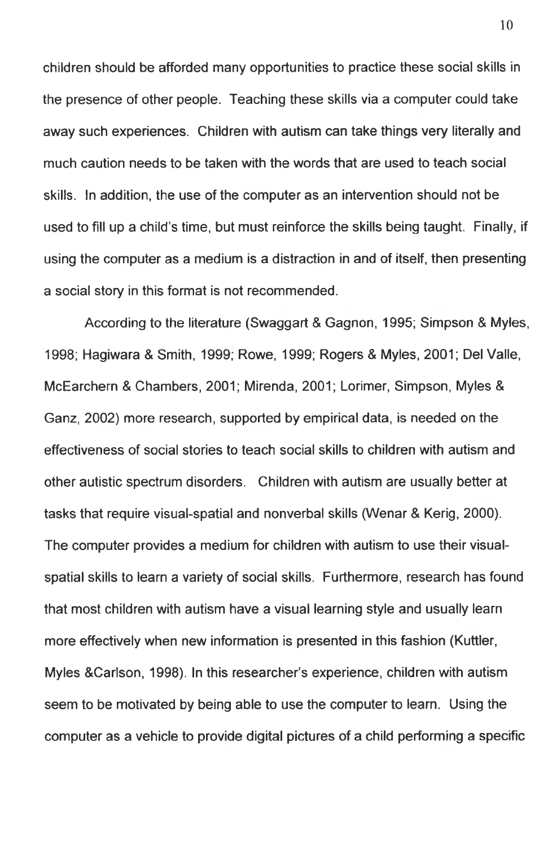children should be afforded many opportunities to practice these social skills in the presence of other people. Teaching these skills via a computer could take away such experiences. Children with autism can take things very literally and much caution needs to be taken with the words that are used to teach social skills. In addition, the use of the computer as an intervention should not be used to fill up a child's time, but must reinforce the skills being taught. Finally, if using the computer as a medium is a distraction in and of itself, then presenting a social story in this format is not recommended.

According to the literature (Swaggart & Gagnon, 1995; Simpson & Myles, 1998; Hagiwara & Smith, 1999, Rowe, 1999; Rogers & Myles, 2001; Del Valle, McEarchern & Chambers, 2001; Mirenda, 2001; Lorimer, Simpson, Myles & Ganz, 2002) more research, supported by empirical data, is needed on the effectiveness of social stories to teach social skills to children with autism and other autistic spectrum disorders. Children with autism are usually better at tasks that require visual-spatial and nonverbal skills (Wenar & Kerig, 2000). The computer provides a medium for children with autism to use their visualspatial skills to learn a variety of social skills. Furthermore, research has found that most children with autism have a visual learning style and usually learn more effectively when new information is presented in this fashion (Kuttler, Myles &Carlson, 1998). In this researcher's experience, children with autism seem to be motivated by being able to use the computer to learn. Using the computer as a vehicle to provide digital pictures of a child performing a specific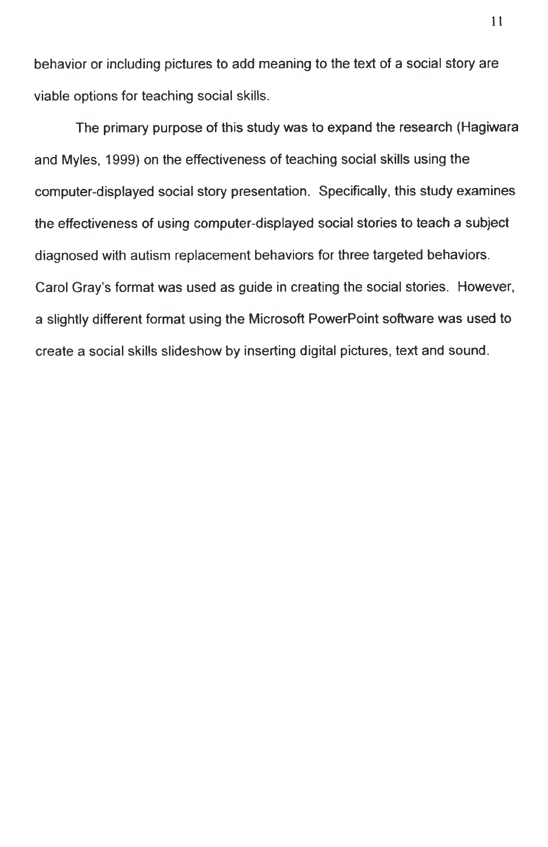behavior or including pictures to add meaning to the text of a social story are viable options for teaching social skills.

The primary purpose of this study was to expand the research (Hagiwara and Myles, 1999) on the effectiveness of teaching social skills using the computer-displayed social story presentation. Specifically, this study examines the effectiveness of using computer-displayed social stories to teach a subject diagnosed with autism replacement behaviors for three targeted behaviors. Carol Gray's format was used as guide in creating the social stories. However, a slightly different format using the Microsoft PowerPoint software was used to create a social skills slideshow by inserting digital pictures, text and sound.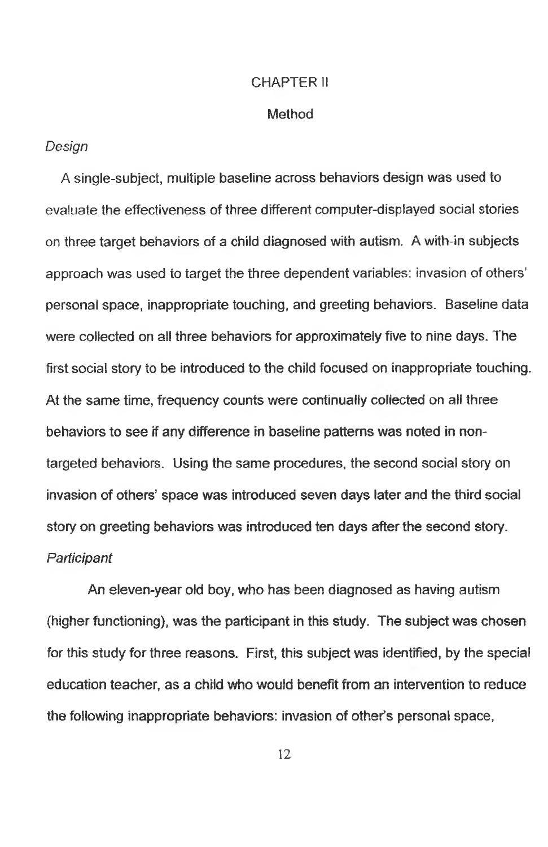#### CHAPTER II

#### **Method**

### *Design*

A single-subject, multiple baseline across behaviors design was used to evaluate the effectiveness of three different computer-displayed social stories on three target behaviors of a child diagnosed with autism. A with-in subjects approach was used io target the three dependent variables: invasion of others' personal space, inappropriate touching, and greeting behaviors. Baseline data were collected on ali three behaviors for approximately five to nine days. The first social story to be introduced to the child focused on inappropriate touching. At the same time, frequency counts were continually collected on ali three behaviors to see if any difference in baseline patterns was noted in nontargeted behaviors. Using the same procedures, the second social story on invasion of others' space was introduced seven days later and the third social story on greeting behaviors was introduced ten days after the second story. *Participant*

An eleven-year old boy, who has been diagnosed as having autism (higher functioning), was the participant in this study. The subject was chosen for this study for three reasons. First, this subject was identified, by the special education teacher, as a chiid who would benefit from an intervention to reduce the following inappropriate behaviors: invasion of other's personal space,

12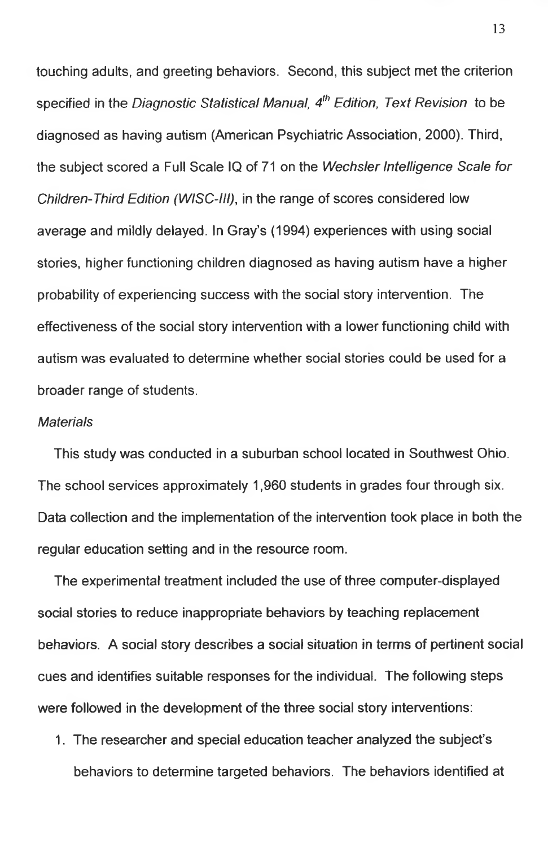touching adults, and greeting behaviors. Second, this subject met the criterion specified in the *Diagnostic Statistical Manual, 4th Edition, Text Revision* to be diagnosed as having autism (American Psychiatric Association, 2000). Third, the subject scored a Full Scale IQ of 71 on the *Wechsler Intelligence Scale for Children-Third Edition (WISC-III),* in the range of scores considered low average and mildly delayed. In Gray's (1994) experiences with using social stories, higher functioning children diagnosed as having autism have a higher probability of experiencing success with the social story intervention. The effectiveness of the social story intervention with a lower functioning child with autism was evaluated to determine whether social stories could be used for a broader range of students.

#### *Materials*

This study was conducted in a suburban school located in Southwest Ohio. The school services approximately 1,960 students in grades four through six. Data collection and the implementation of the intervention took place in both the regular education setting and in the resource room.

The experimental treatment included the use of three computer-displayed social stories to reduce inappropriate behaviors by teaching replacement behaviors. A social story describes a social situation in terms of pertinent social cues and identifies suitable responses for the individual. The following steps were followed in the development of the three social story interventions:

1. The researcher and special education teacher analyzed the subject's behaviors to determine targeted behaviors. The behaviors identified at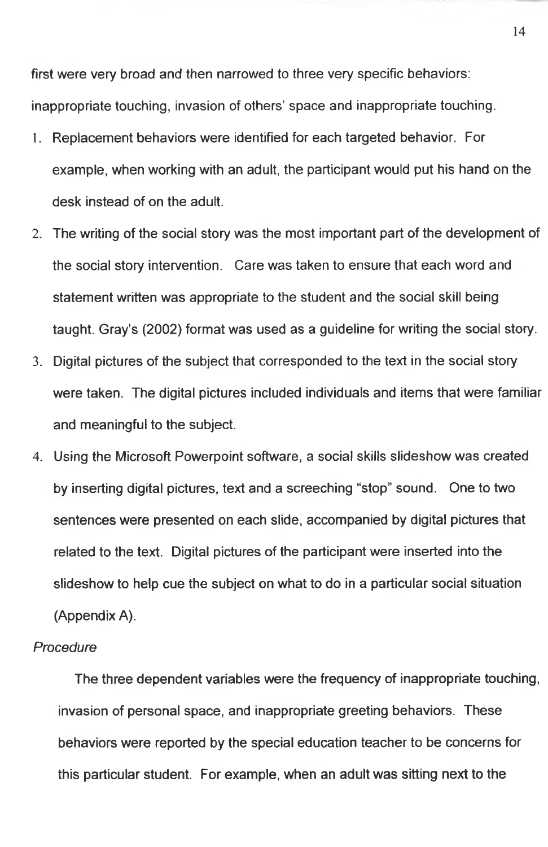first were very broad and then narrowed to three very specific behaviors: inappropriate touching, invasion of others' space and inappropriate touching.

- 1. Replacement behaviors were identified for each targeted behavior. For example, when working with an adult, the participant would put his hand on the desk instead of on the adult.
- 2. The writing of the social story was the most important part of the development of the social story intervention. Care was taken to ensure that each word and statement written was appropriate to the student and the social skill being taught. Gray's (2002) format was used as a guideline for writing the social story.
- 3. Digital pictures of the subject that corresponded to the text in the social story were taken. The digital pictures included individuals and items that were familiar and meaningful to the subject.
- 4. Using the Microsoft Powerpoint software, a social skills slideshow was created by inserting digital pictures, text and a screeching "stop" sound. One to two sentences were presented on each slide, accompanied by digital pictures that related to the text. Digital pictures of the participant were inserted into the slideshow to help cue the subject on what to do in a particular social situation (Appendix A).

#### *Procedure*

The three dependent variables were the frequency of inappropriate touching, invasion of personal space, and inappropriate greeting behaviors. These behaviors were reported by the special education teacher to be concerns for this particular student. For example, when an adult was sitting next to the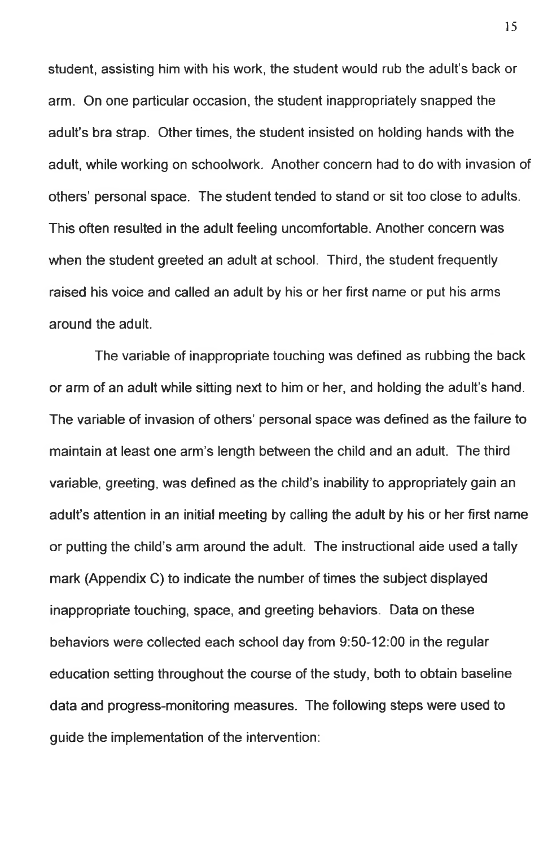student, assisting him with his work, the student would rub the adult's back or arm. On one particular occasion, the student inappropriately snapped the adult's bra strap. Other times, the student insisted on holding hands with the adult, while working on schoolwork. Another concern had to do with invasion of others' personal space. The student tended to stand or sit too close to adults. This often resulted in the adult feeling uncomfortable. Another concern was when the student greeted an adult at school. Third, the student frequently raised his voice and called an adult by his or her first name or put his arms around the adult.

The variable of inappropriate touching was defined as rubbing the back or arm of an adult while sitting next to him or her, and holding the adult's hand. The variable of invasion of others' personal space was defined as the failure to maintain at least one arm's length between the child and an adult. The third variable, greeting, was defined as the child's inability to appropriately gain an adult's attention in an initial meeting by calling the adult by his or her first name or putting the child's arm around the adult. The instructional aide used a tally mark (Appendix C) to indicate the number of times the subject displayed inappropriate touching, space, and greeting behaviors. Data on these behaviors were collected each school day from 9:50-12:00 in the regular education setting throughout the course of the study, both to obtain baseline data and progress-monitoring measures. The following steps were used to guide the implementation of the intervention: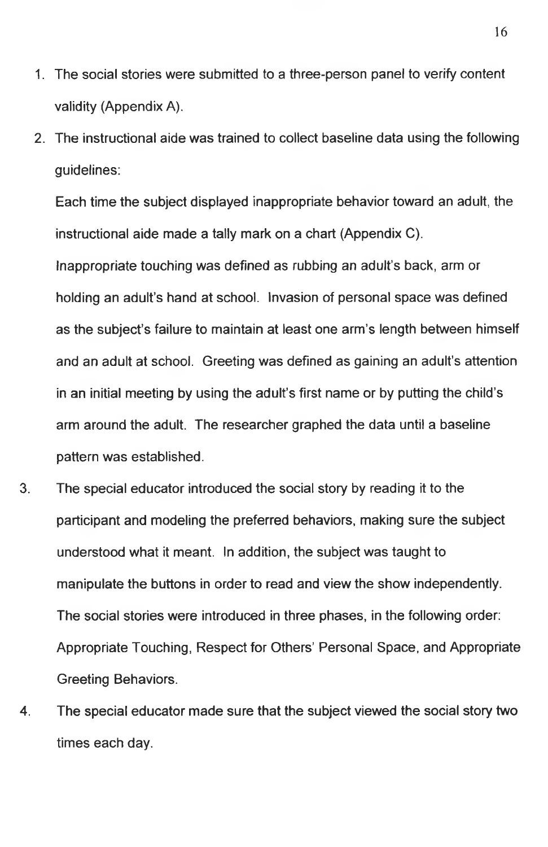- 1. The social stories were submitted to a three-person panel to verify content validity (Appendix A).
- 2. The instructional aide was trained to collect baseline data using the following guidelines:

Each time the subject displayed inappropriate behavior toward an adult, the instructional aide made a tally mark on a chart (Appendix C).

Inappropriate touching was defined as rubbing an adult's back, arm or holding an adult's hand at school. Invasion of personal space was defined as the subject's failure to maintain at least one arm's length between himself and an adult at school. Greeting was defined as gaining an adult's attention in an initial meeting by using the adult's first name or by putting the child's arm around the adult. The researcher graphed the data until a baseline pattern was established.

- 3. The special educator introduced the social story by reading it to the participant and modeling the preferred behaviors, making sure the subject understood what it meant. In addition, the subject was taught to manipulate the buttons in order to read and view the show independently. The social stories were introduced in three phases, in the following order: Appropriate Touching, Respect for Others' Personal Space, and Appropriate Greeting Behaviors.
- 4. The special educator made sure that the subject viewed the social story two times each day.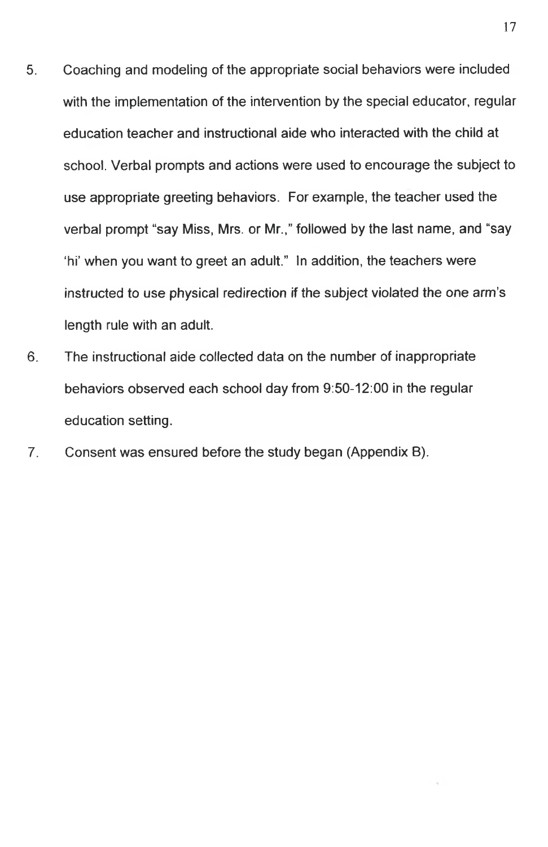- 5. Coaching and modeling of the appropriate social behaviors were included with the implementation of the intervention by the special educator, regular education teacher and instructional aide who interacted with the child at school. Verbal prompts and actions were used to encourage the subject to use appropriate greeting behaviors. For example, the teacher used the verbal prompt "say Miss, Mrs. or Mr.," followed by the last name, and "say 'hi' when you want to greet an adult." In addition, the teachers were instructed to use physical redirection if the subject violated the one arm's length rule with an adult.
- 6. The instructional aide collected data on the number of inappropriate behaviors observed each school day from 9:50-12:00 in the regular education setting.
- 7. Consent was ensured before the study began (Appendix B).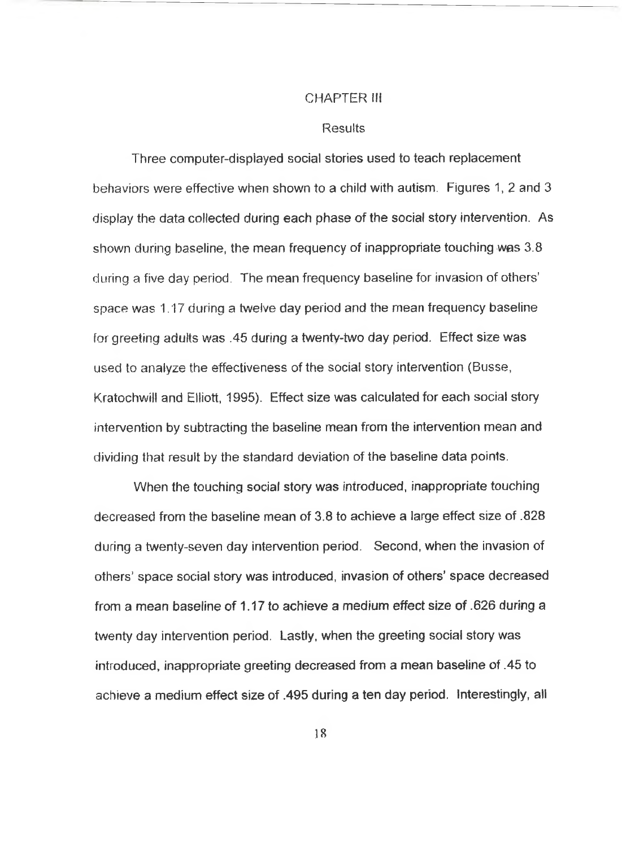#### CHAPTER III

#### **Results**

Three computer-dispiayed social stories used to teach replacement behaviors were effective when shown to a child with autism. Figures 1, *2* and 3 display the data collected during each phase of the social story intervention. As shown during baseline, the mean frequency of inappropriate touching was 3.8 during a five day period. The mean frequency baseline for invasion of others' space was 1.17 during a twelve day period and the mean frequency baseline for greeting adults was .45 during a twenty-two day period. Effect size was used to analyze the effectiveness of the social story intervention (Busse, Kratochwill and Elliott, 1995). Effect size was calculated for each social story intervention by subtracting the baseline mean from the intervention mean and dividing that result by the standard deviation of the baseline data points.

When the touching social story was introduced, inappropriate touching decreased from the baseline mean of 3.8 to achieve a large effect size of .828 during a twenty-seven day intervention period. Second, when the invasion of others' space social story was introduced, invasion of others' space decreased from a mean baseline of 1.17 to achieve a medium effect size of .626 during a twenty day intervention period. Lastly, when the greeting social story was introduced, inappropriate greeting decreased from a mean baseline of .45 to achieve a medium effect size of .495 during a ten day period. Interestingly, all

18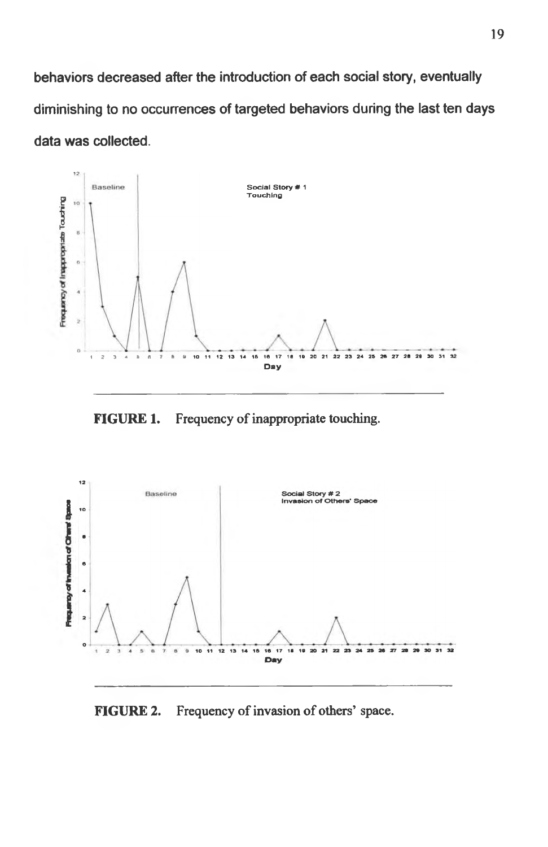**behaviors decreased after the introduction of each social story, eventually diminishing to no occurrences of targeted behaviors during the last ten days data was collected.**



**FIGURE 1.** Frequency of inappropriate touching.



**FIGURE** 2. Frequency of invasion of others' space.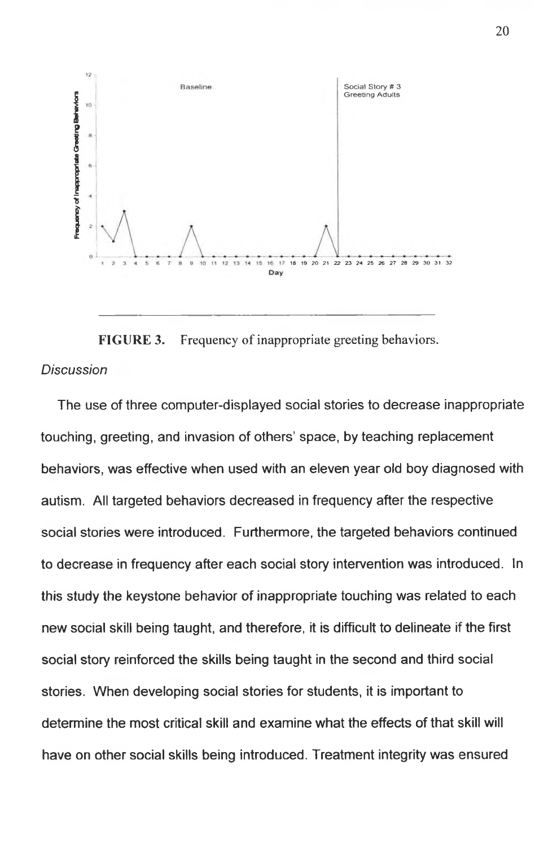

**FIGURE 3.** Frequency of inappropriate greeting behaviors. *Discussion*

The use of three computer-displayed social stories to decrease inappropriate touching, greeting, and invasion of others' space, by teaching replacement behaviors, was effective when used with an eleven year old boy diagnosed with autism. All targeted behaviors decreased in frequency after the respective social stories were introduced. Furthermore, the targeted behaviors continued to decrease in frequency after each social story intervention was introduced. In this study the keystone behavior of inappropriate touching was related to each new social skill being taught, and therefore, it is difficult to delineate if the first social story reinforced the skills being taught in the second and third social stories. When developing social stories for students, it is important to determine the most critical skill and examine what the effects of that skill will have on other social skills being introduced. Treatment integrity was ensured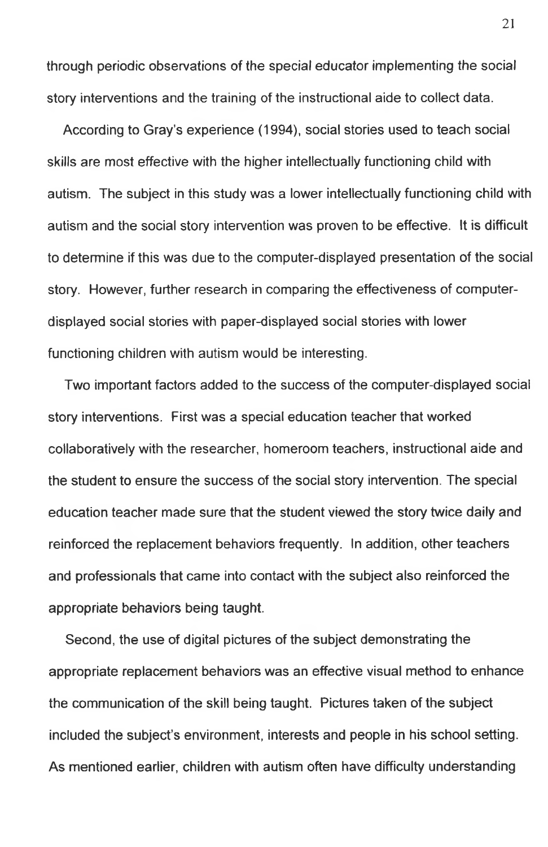through periodic observations of the special educator implementing the social story interventions and the training of the instructional aide to collect data.

According to Gray's experience (1994), social stories used to teach social skills are most effective with the higher intellectually functioning child with autism. The subject in this study was a lower intellectually functioning child with autism and the social story intervention was proven to be effective. It is difficult to determine if this was due to the computer-displayed presentation of the social story. However, further research in comparing the effectiveness of computerdisplayed social stories with paper-displayed social stories with lower functioning children with autism would be interesting.

Two important factors added to the success of the computer-displayed social story interventions. First was a special education teacher that worked collaboratively with the researcher, homeroom teachers, instructional aide and the student to ensure the success of the social story intervention. The special education teacher made sure that the student viewed the story twice daily and reinforced the replacement behaviors frequently. In addition, other teachers and professionals that came into contact with the subject also reinforced the appropriate behaviors being taught.

Second, the use of digital pictures of the subject demonstrating the appropriate replacement behaviors was an effective visual method to enhance the communication of the skill being taught. Pictures taken of the subject included the subject's environment, interests and people in his school setting. As mentioned earlier, children with autism often have difficulty understanding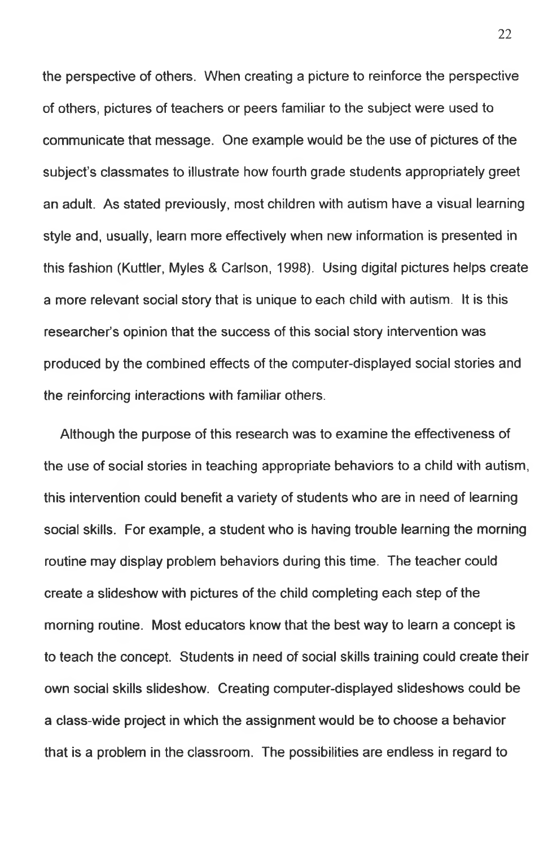the perspective of others. When creating a picture to reinforce the perspective of others, pictures of teachers or peers familiar to the subject were used to communicate that message. One example would be the use of pictures of the subject's classmates to illustrate how fourth grade students appropriately greet an adult. As stated previously, most children with autism have a visual learning style and, usually, learn more effectively when new information is presented in this fashion (Kuttler, Myles & Carlson, 1998). Using digital pictures helps create a more relevant social story that is unique to each child with autism. It is this researcher's opinion that the success of this social story intervention was produced by the combined effects of the computer-displayed social stories and the reinforcing interactions with familiar others.

Although the purpose of this research was to examine the effectiveness of the use of social stories in teaching appropriate behaviors to a child with autism, this intervention could benefit a variety of students who are in need of learning social skills. For example, a student who is having trouble learning the morning routine may display problem behaviors during this time. The teacher could create a slideshow with pictures of the child completing each step of the morning routine. Most educators know that the best way to learn a concept is to teach the concept. Students in need of social skills training could create their own social skills slideshow. Creating computer-displayed slideshows could be a class-wide project in which the assignment would be to choose a behavior that is a problem in the classroom. The possibilities are endless in regard to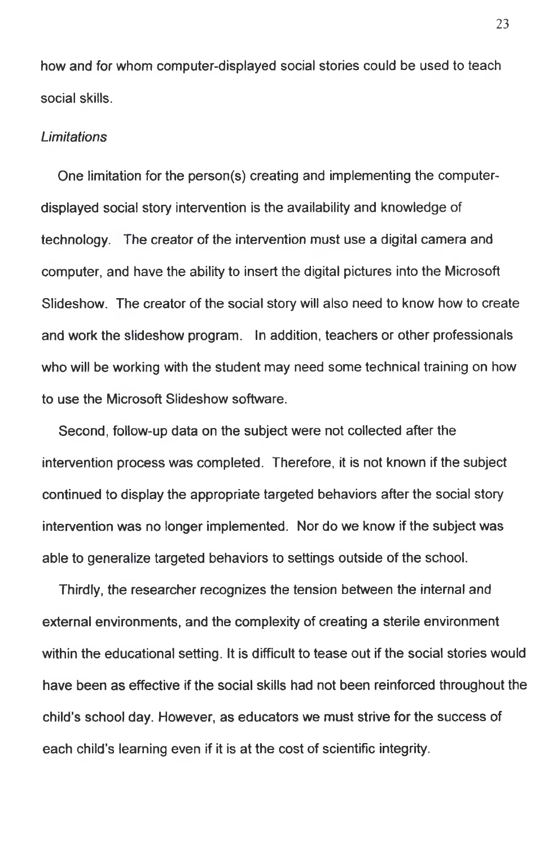how and for whom computer-displayed social stories could be used to teach social skills.

#### *Limitations*

One limitation for the person(s) creating and implementing the computerdisplayed social story intervention is the availability and knowledge of technology. The creator of the intervention must use a digital camera and computer, and have the ability to insert the digital pictures into the Microsoft Slideshow. The creator of the social story will also need to know how to create and work the slideshow program. In addition, teachers or other professionals who will be working with the student may need some technical training on how to use the Microsoft Slideshow software.

Second, follow-up data on the subject were not collected after the intervention process was completed. Therefore, it is not known if the subject continued to display the appropriate targeted behaviors after the social story intervention was no longer implemented. Nor do we know if the subject was able to generalize targeted behaviors to settings outside of the school.

Thirdly, the researcher recognizes the tension between the internal and external environments, and the complexity of creating a sterile environment within the educational setting. It is difficult to tease out if the social stories would have been as effective if the social skills had not been reinforced throughout the child's school day. However, as educators we must strive for the success of each child's learning even if it is at the cost of scientific integrity.

23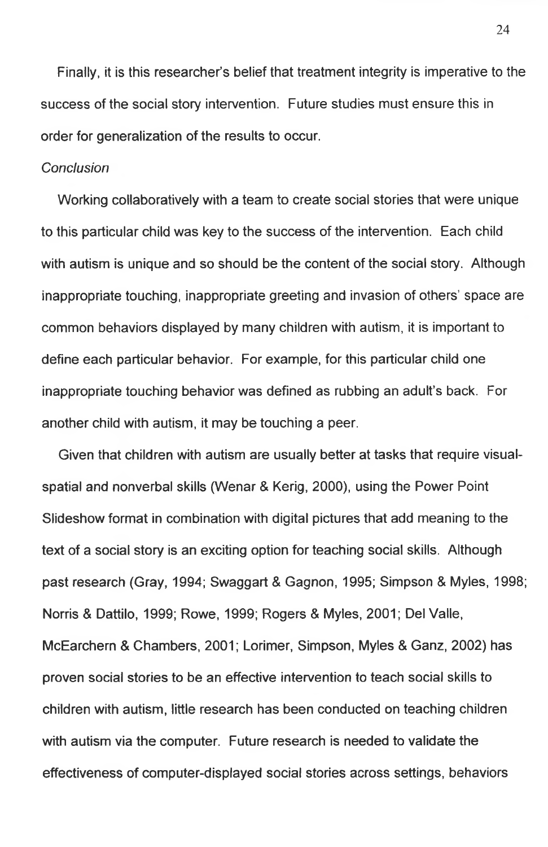Finally, it is this researcher's belief that treatment integrity is imperative to the success of the social story intervention. Future studies must ensure this in order for generalization of the results to occur.

#### *Conclusion*

Working collaboratively with a team to create social stories that were unique to this particular child was key to the success of the intervention. Each child with autism is unique and so should be the content of the social story. Although inappropriate touching, inappropriate greeting and invasion of others' space are common behaviors displayed by many children with autism, it is important to define each particular behavior. For example, for this particular child one inappropriate touching behavior was defined as rubbing an adult's back. For another child with autism, it may be touching a peer.

Given that children with autism are usually better at tasks that require visualspatial and nonverbal skills (Wenar & Kerig, 2000), using the Power Point Slideshow format in combination with digital pictures that add meaning to the text of a social story is an exciting option for teaching social skills. Although past research (Gray, 1994; Swaggart & Gagnon, 1995; Simpson & Myles, 1998; Norris & Dattilo, 1999; Rowe, 1999; Rogers & Myles, 2001; Del Valle, McEarchern & Chambers, 2001; Lorimer, Simpson, Myles & Ganz, 2002) has proven social stories to be an effective intervention to teach social skills to children with autism, little research has been conducted on teaching children with autism via the computer. Future research is needed to validate the effectiveness of computer-displayed social stories across settings, behaviors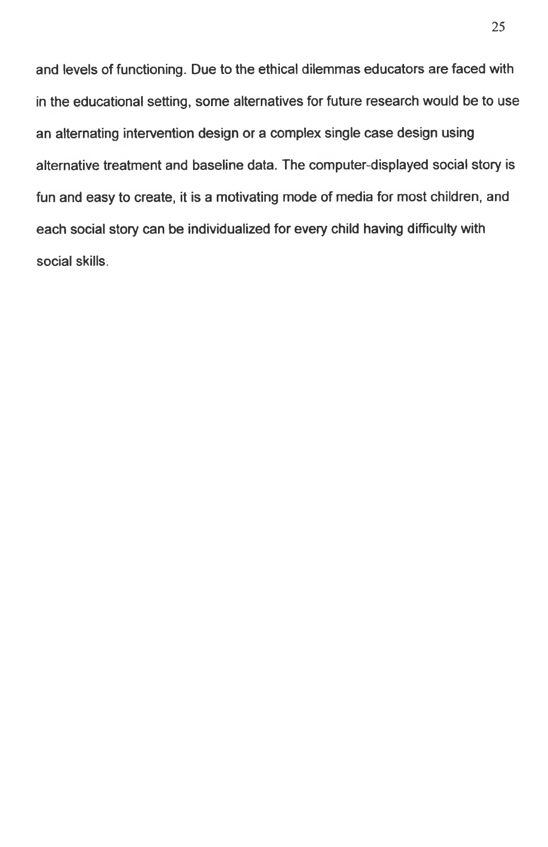and levels of functioning. Due to the ethical dilemmas educators are faced with in the educational setting, some alternatives for future research would be to use an alternating intervention design or a complex single case design using alternative treatment and baseline data. The computer-displayed social story is fun and easy to create, it is a motivating mode of media for most children, and each social story can be individualized for every child having difficulty with social skills.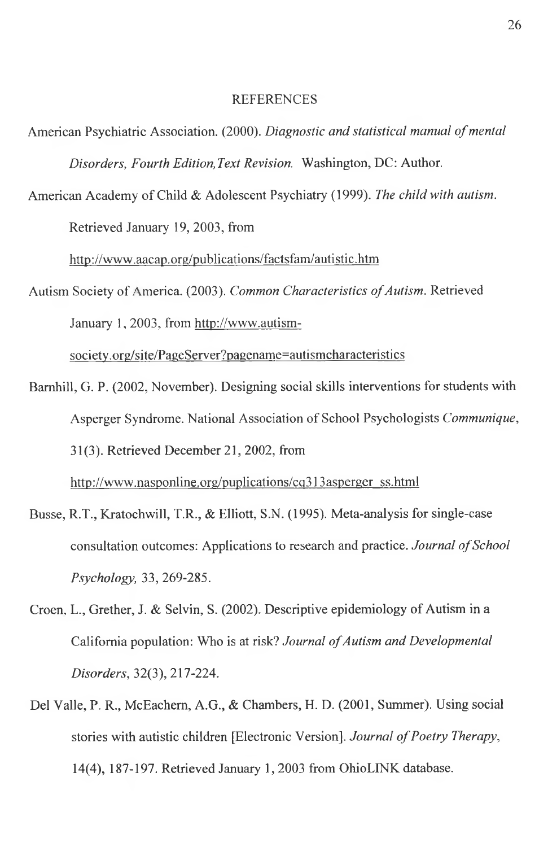#### REFERENCES

- American Psychiatric Association. (2000). *Diagnostic and statistical manual of mental Disorders, Fourth Edition, Text Revision.* Washington, DC: Author.
- American Academy of Child & Adolescent Psychiatry (1999). *The child with autism.* Retrieved January 19, 2003, from

<http://www.aacap.org/publications/factsfam/autistic.htm>

Autism Society of America. (2003). *Common Characteristics of Autism*. Retrieved January 1,2003, from [http://www.autism-](http://www.autism-society.org/site/PageServer?pagename=autismcharacteristics)

[society.org/site/PageServer?pagename=autismcharacteristics](http://www.autism-society.org/site/PageServer?pagename=autismcharacteristics)

- Barnhill, G. P. (2002, November). Designing social skills interventions for students with Asperger Syndrome. National Association of School Psychologists *Communique,* 31(3). Retrieved December 21, 2002, from [http://www.nasponline.org/puplications/cq313asperger ss.html](http://www.nasponline.org/puplications/cq313asperger_ss.html)
- Busse, R.T., Kratochwill, T.R., & Elliott, S.N. (1995). Meta-analysis for single-case consultation outcomes: Applications to research and practice. *Journal of School Psychology,* 33, 269-285.
- Croen, L., Grether, J. & Selvin, S. (2002). Descriptive epidemiology of Autism in a California population: Who is at risk? *Journal of Autism and Developmental Disorders,* 32(3), 217-224.
- Del Valle, P. R., McEachem, A.G., & Chambers, H. D. (2001, Summer). Using social stories with autistic children [Electronic Version]. *Journal of Poetry Therapy*, 14(4), 187-197. Retrieved January 1, 2003 from OhioLINK database.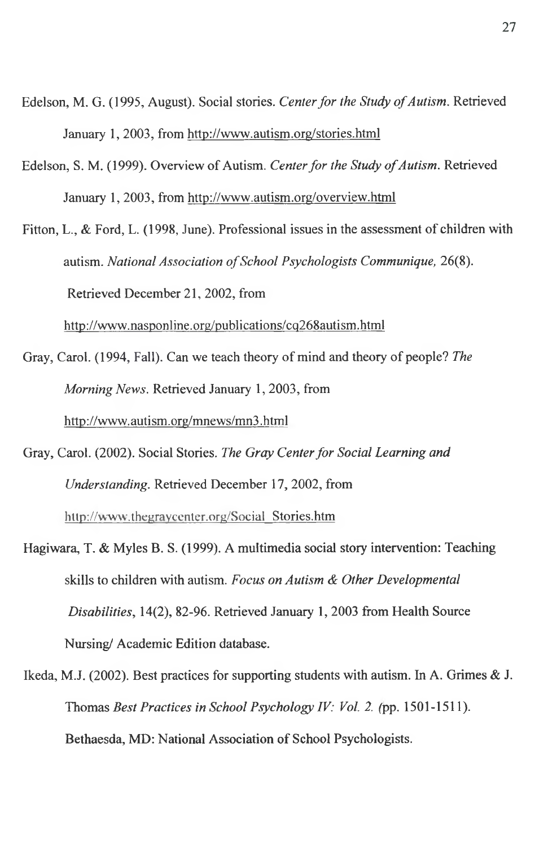- Edelson, M. G. (1995, August). Social stories. *Center for the Study of Autism*. Retrieved January 1, 2003, from <http://www.autism.org/stories.html>
- Edelson, S. M. (1999). Overview of Autism. *Center for the Study of Autism*. Retrieved January 1, 2003, from <http://www.autism.org/overview.html>

Fitton, L., & Ford, L. (1998, June). Professional issues in the assessment of children with autism. *National Association of School Psychologists Communique, 26(8).* Retrieved December 21, 2002, from

<http://www.nasponline.org/publications/cq268autism.html>

- Gray, Carol. (1994, Fall). Can we teach theory of mind and theory of people? *The Morning News.* Retrieved January 1,2003, from http ://www.<autism.org/mnews/mn3>. html
- Gray, Carol. (2002). Social Stories. *The Gray Center for Social Learning and Understanding.* Retrieved December 17, 2002, from [http://www.thegraycenter.org/Social Stories.htm](http://www.thegraycenter.org/Social_Stories.htmHagiwara,_T._&_Myles_B._S._(1999)._A_multimedia_social_story_intervention:_Teaching)
- [Hagiwara, T. & Myles B. S. \(1999\). A multimedia social story intervention: Teaching](http://www.thegraycenter.org/Social_Stories.htmHagiwara,_T._&_Myles_B._S._(1999)._A_multimedia_social_story_intervention:_Teaching) skills to children with autism. *Focus on Autism & Other Developmental Disabilities,* 14(2), 82-96. Retrieved January 1, 2003 from Health Source Nursing/ Academic Edition database.
- Ikeda, M.J. (2002). Best practices for supporting students with autism. In A. Grimes & J. Thomas *Best Practices in School Psychology IV: Vol. 2.* (pp. 1501-1511). Bethaesda, MD: National Association of School Psychologists.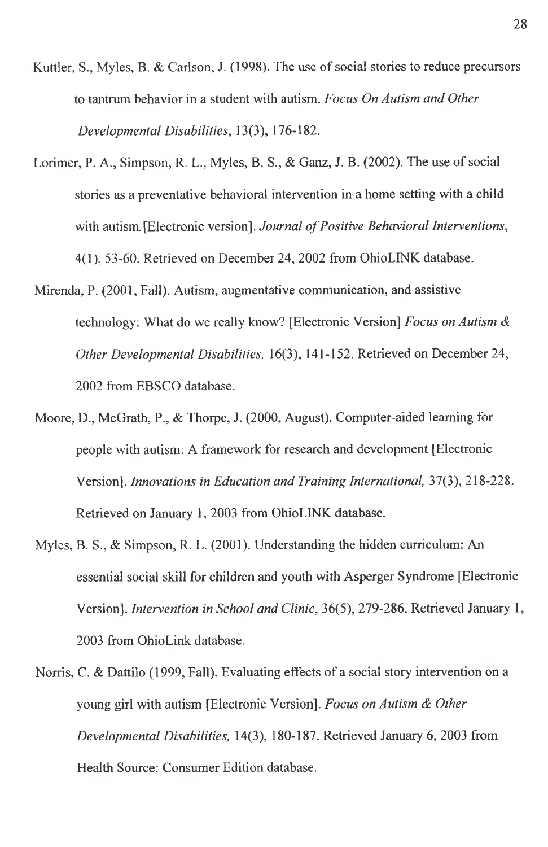- Kuttler, S., Myles, B. & Carlson, J. (1998). The use of social stories to reduce precursors to tantrum behavior in a student with autism. *Focus On Autism and Other Developmental Disabilities,* 13(3), 176-182.
- Lorimer, P. A., Simpson, R. L., Myles, B. S., & Ganz, J. B. (2002). The use of social stories as a preventative behavioral intervention in a home setting with a child with autism. [Electronic version]. *Journal of Positive Behavioral Interventions*, 4(1), 53-60. Retrieved on December 24, 2002 from OhioLINK database.
- Mirenda, P. (2001, Fall). Autism, augmentative communication, and assistive technology: What do we really know? [Electronic Version] *Focus on Autism & Other Developmental Disabilities,* 16(3), 141-152. Retrieved on December 24, 2002 from EBSCO database.
- Moore, D., McGrath, P., & Thorpe, J. (2000, August). Computer-aided learning for people with autism: A framework for research and development [Electronic Version], *Innovations in Education and Training International,* 37(3), 218-228. Retrieved on January 1, 2003 from OhioLINK database.
- Myles, B. S., & Simpson, R. L. (2001). Understanding the hidden curriculum: An essential social skill for children and youth with Asperger Syndrome [Electronic Version], *Intervention in School and Clinic,* 36(5), 279-286. Retrieved January 1, 2003 from OhioLink database.
- Norris, C. & Dattilo (1999, Fall). Evaluating effects of a social story intervention on a young girl with autism [Electronic Version]. *Focus on Autism & Other Developmental Disabilities,* 14(3), 180-187. Retrieved January 6, 2003 from Health Source: Consumer Edition database.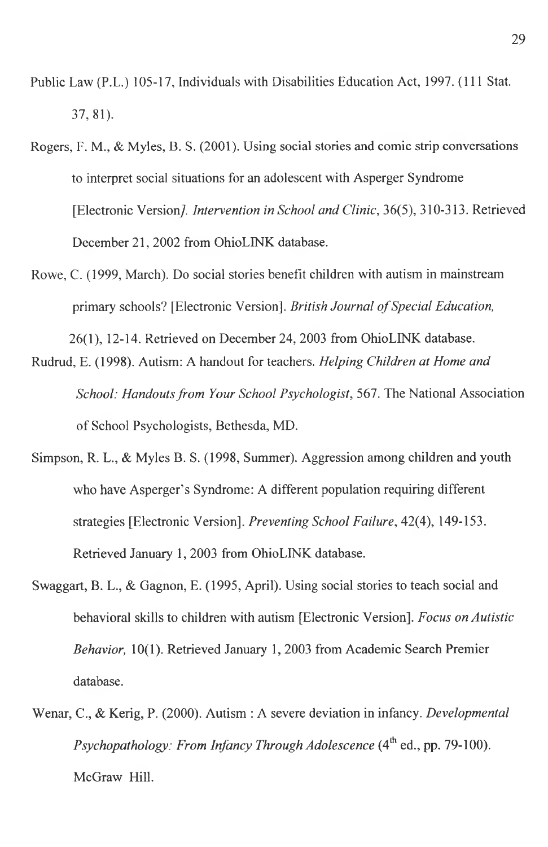- Public Law (P.L.) 105-17, Individuals with Disabilities Education Act, 1997. (111 Stat. 37, 81).
- Rogers, F. M., & Myles, B. S. (2001). Using social stories and comic strip conversations to interpret social situations for an adolescent with Asperger Syndrome [Electronic Version/. *Intervention in School and Clinic,* 36(5), 310-313. Retrieved December 21, 2002 from OhioLINK database.
- Rowe, C. (1999, March). Do social stories benefit children with autism in mainstream primary schools? [Electronic Version]. *British Journal of Special Education*,

26(1), 12-14. Retrieved on December 24, 2003 from OhioLINK database.

- Rudrud, E. (1998). Autism: A handout for teachers. *Helping Children at Home and School: Handouts from Your School Psychologist,* 567. The National Association of School Psychologists, Bethesda, MD.
- Simpson, R. L., & Myles B. S. (1998, Summer). Aggression among children and youth who have Asperger's Syndrome: A different population requiring different strategies [Electronic Version], *Preventing School Failure,* 42(4), 149-153. Retrieved January 1, 2003 from OhioLINK database.
- Swaggart, B. L., & Gagnon, E. (1995, April). Using social stories to teach social and behavioral skills to children with autism [Electronic Version]. *Focus on Autistic Behavior,* 10(1). Retrieved January 1, 2003 from Academic Search Premier database.
- Wenar, C., & Kerig, P. (2000). Autism : A severe deviation in infancy. *Developmental Psychopathology: From Infancy Through Adolescence* (4<sup>th</sup> ed., pp. 79-100). McGraw Hill.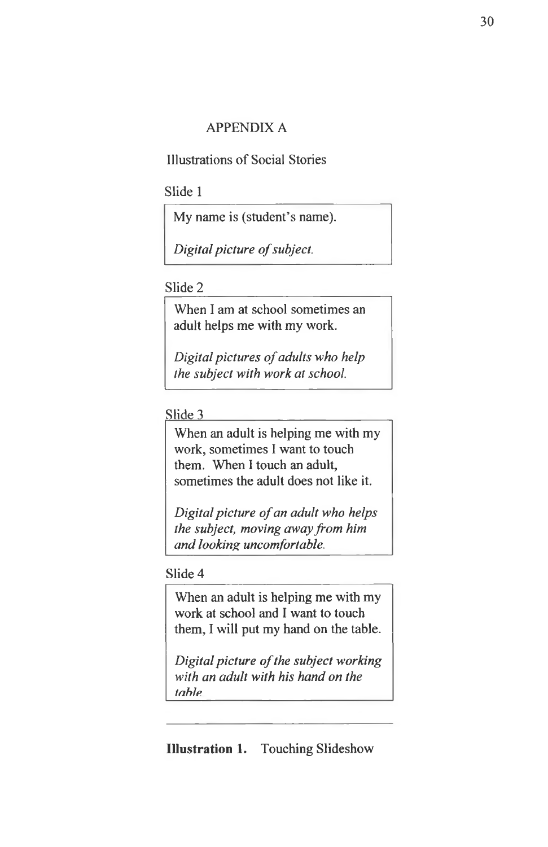## APPENDIX A

Illustrations of Social Stories

Slide 1

My name is (student's name).

*Digital picture of subject.* 

## Slide 2

When I am at school sometimes an adult helps me with my work.

*Digital pictures of adults who help the subject with work at school.*

Slide 3

When an adult is helping me with my work, sometimes I want to touch them. When I touch an adult, sometimes the adult does not like it.

*Digital picture of an adult who helps the subject, moving away from him and looking uncomfortable.*

## Slide 4

When an adult is helping me with my work at school and I want to touch them, I will put my hand on the table.

*Digital picture of the subject working with an adult with his hand on the table*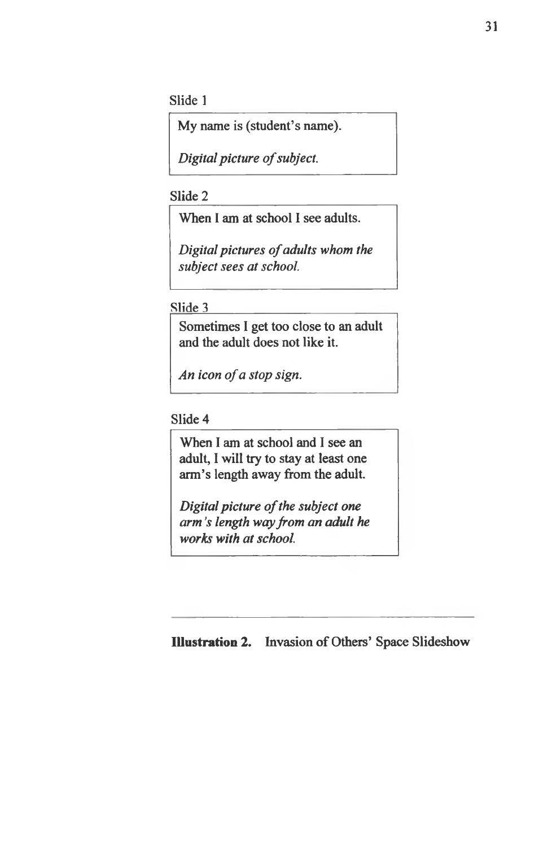Slide 1

My name is (student's name).

*Digital picture of subject.* 

Slide 2

When I am at school I see adults.

*Digital pictures of adults whom the subject sees at school.*

Slide 3\_\_\_\_\_\_\_\_ \_\_\_\_\_\_\_\_\_\_\_\_\_\_\_

Sometimes I get too close to an adult and the adult does not like it.

*An icon of a stop sign.* 

Slide 4

When I am at school and I see an adult, I will try to stay at least one arm's length away from the adult.

*Digital picture of the subject one arm's length way from an adult he works with at school.*

**Illustration 2.** Invasion of Others' Space Slideshow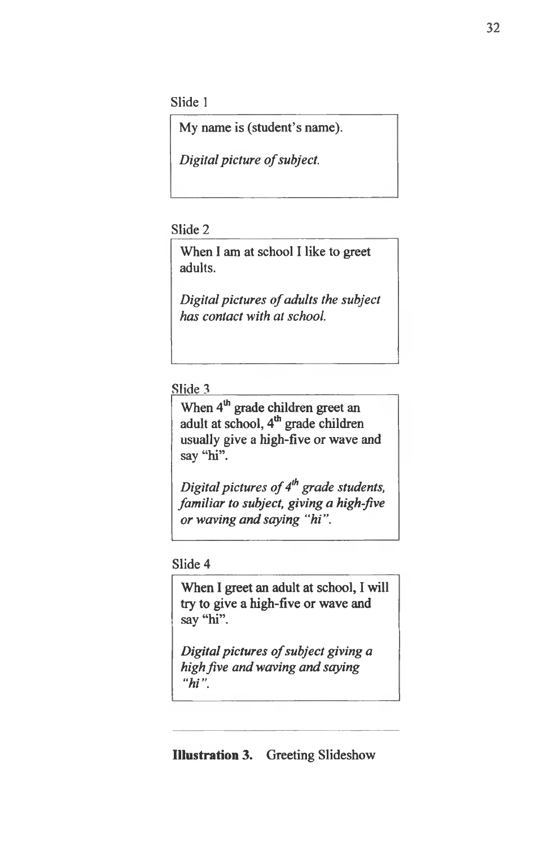Slide 1

My name is (student's name).

*Digital picture of subject.* 

## Slide 2

When 1 am at school I like to greet adults.

*Digital pictures of adults the subject* has contact with at school.

## Slide 3

When 4<sup>th</sup> grade children greet an adult at school, 4<sup>th</sup> grade children usually give a high-five or wave and say "hi".

*Digital pictures of 4<sup>th</sup> grade students, familiar to subject, giving a high-five or waving and saying "hi".* 

## Slide 4

When I greet an adult at school, I will try to give a high-five or wave and say "hi".

*Digital pictures of subject giving a high jive and waving and saying* "*hi"*.

## **Illustration** 3. Greeting Slideshow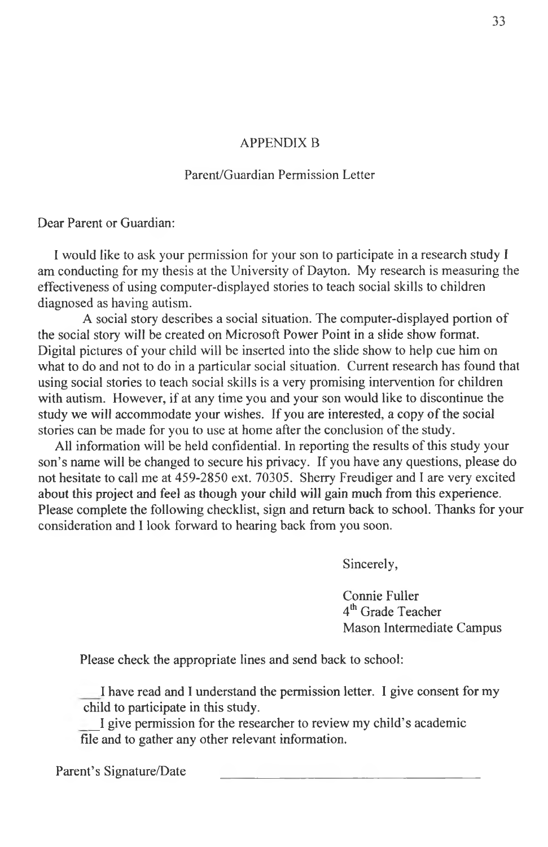#### APPENDIX B

## Parent/Guardian Permission Letter

Dear Parent or Guardian:

I would like to ask your permission for your son to participate in a research study I am conducting for my thesis at the University of Dayton. My research is measuring the effectiveness of using computer-displayed stories to teach social skills to children diagnosed as having autism.

A social story describes a social situation. The computer-displayed portion of the social story will be created on Microsoft Power Point in a slide show format. Digital pictures of your child will be inserted into the slide show to help cue him on what to do and not to do in a particular social situation. Current research has found that using social stories to teach social skills is a very promising intervention for children with autism. However, if at any time you and your son would like to discontinue the study we will accommodate your wishes. If you are interested, a copy of the social stories can be made for you to use at home after the conclusion of the study.

All information will be held confidential. In reporting the results of this study your son's name will be changed to secure his privacy. If you have any questions, please do not hesitate to call me at 459-2850 ext. 70305. Sherry Freudiger and I are very excited about this project and feel as though your child will gain much from this experience. Please complete the following checklist, sign and return back to school. Thanks for your consideration and I look forward to hearing back from you soon.

Sincerely,

Connie Fuller 4<sup>th</sup> Grade Teacher Mason Intermediate Campus

Please check the appropriate lines and send back to school:

I have read and I understand the permission letter. I give consent for my child to participate in this study.

\_I give permission for the researcher to review my child's academic file and to gather any other relevant information.

Parent's Signature/Date